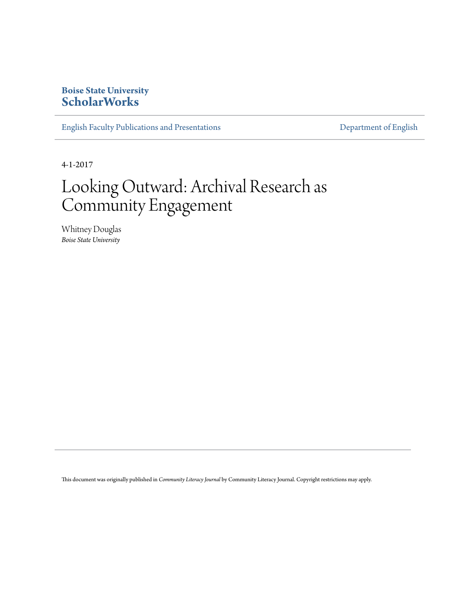### **Boise State University [ScholarWorks](https://scholarworks.boisestate.edu)**

[English Faculty Publications and Presentations](https://scholarworks.boisestate.edu/english_facpubs) **[Department of English](https://scholarworks.boisestate.edu/english)** 

4-1-2017

# Looking Outward: Archival Research as Community Engagement

Whitney Douglas *Boise State University*

This document was originally published in *Community Literacy Journal* by Community Literacy Journal. Copyright restrictions may apply.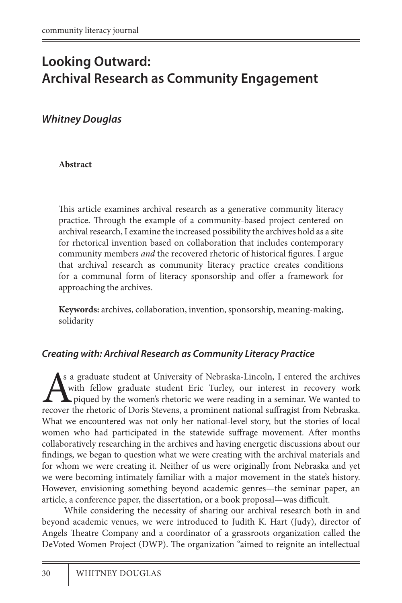## **Looking Outward: Archival Research as Community Engagement**

*Whitney Douglas*

#### **Abstract**

This article examines archival research as a generative community literacy practice. Through the example of a community-based project centered on archival research, I examine the increased possibility the archives hold as a site for rhetorical invention based on collaboration that includes contemporary community members *and* the recovered rhetoric of historical figures. I argue that archival research as community literacy practice creates conditions for a communal form of literacy sponsorship and offer a framework for approaching the archives.

**Keywords:** archives, collaboration, invention, sponsorship, meaning-making, solidarity

#### *Creating with: Archival Research as Community Literacy Practice*

s a graduate student at University of Nebraska-Lincoln, I entered the archives with fellow graduate student Eric Turley, our interest in recovery work piqued by the women's rhetoric we were reading in a seminar. We wanted to As a graduate student at University of Nebraska-Lincoln, I entered the archives<br>with fellow graduate student Eric Turley, our interest in recovery work<br>piqued by the women's rhetoric we were reading in a seminar. We wanted What we encountered was not only her national-level story, but the stories of local women who had participated in the statewide suffrage movement. After months collaboratively researching in the archives and having energetic discussions about our findings, we began to question what we were creating with the archival materials and for whom we were creating it. Neither of us were originally from Nebraska and yet we were becoming intimately familiar with a major movement in the state's history. However, envisioning something beyond academic genres—the seminar paper, an article, a conference paper, the dissertation, or a book proposal—was difficult.

While considering the necessity of sharing our archival research both in and beyond academic venues, we were introduced to Judith K. Hart (Judy), director of Angels Theatre Company and a coordinator of a grassroots organization called the DeVoted Women Project (DWP). The organization "aimed to reignite an intellectual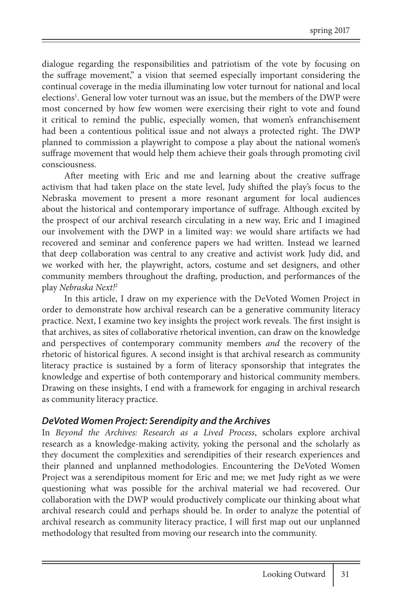dialogue regarding the responsibilities and patriotism of the vote by focusing on the suffrage movement," a vision that seemed especially important considering the continual coverage in the media illuminating low voter turnout for national and local elections<sup>1</sup>. General low voter turnout was an issue, but the members of the DWP were most concerned by how few women were exercising their right to vote and found it critical to remind the public, especially women, that women's enfranchisement had been a contentious political issue and not always a protected right. The DWP planned to commission a playwright to compose a play about the national women's suffrage movement that would help them achieve their goals through promoting civil consciousness.

After meeting with Eric and me and learning about the creative suffrage activism that had taken place on the state level, Judy shifted the play's focus to the Nebraska movement to present a more resonant argument for local audiences about the historical and contemporary importance of suffrage. Although excited by the prospect of our archival research circulating in a new way, Eric and I imagined our involvement with the DWP in a limited way: we would share artifacts we had recovered and seminar and conference papers we had written. Instead we learned that deep collaboration was central to any creative and activist work Judy did, and we worked with her, the playwright, actors, costume and set designers, and other community members throughout the drafting, production, and performances of the play *Nebraska Next!*<sup>2</sup>

In this article, I draw on my experience with the DeVoted Women Project in order to demonstrate how archival research can be a generative community literacy practice. Next, I examine two key insights the project work reveals. The first insight is that archives, as sites of collaborative rhetorical invention, can draw on the knowledge and perspectives of contemporary community members *and* the recovery of the rhetoric of historical figures. A second insight is that archival research as community literacy practice is sustained by a form of literacy sponsorship that integrates the knowledge and expertise of both contemporary and historical community members. Drawing on these insights, I end with a framework for engaging in archival research as community literacy practice.

#### *DeVoted Women Project: Serendipity and the Archives*

In *Beyond the Archives: Research as a Lived Process*, scholars explore archival research as a knowledge-making activity, yoking the personal and the scholarly as they document the complexities and serendipities of their research experiences and their planned and unplanned methodologies. Encountering the DeVoted Women Project was a serendipitous moment for Eric and me; we met Judy right as we were questioning what was possible for the archival material we had recovered. Our collaboration with the DWP would productively complicate our thinking about what archival research could and perhaps should be. In order to analyze the potential of archival research as community literacy practice, I will first map out our unplanned methodology that resulted from moving our research into the community.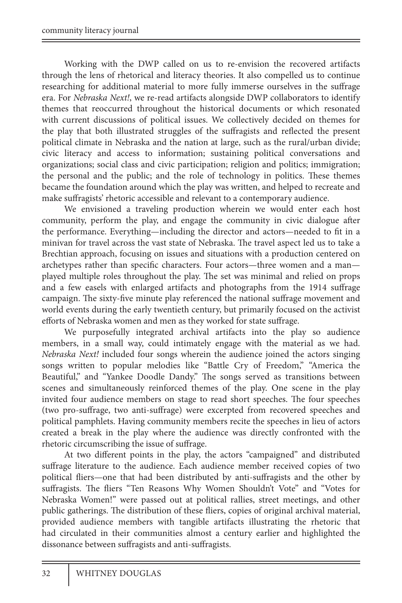Working with the DWP called on us to re-envision the recovered artifacts through the lens of rhetorical and literacy theories. It also compelled us to continue researching for additional material to more fully immerse ourselves in the suffrage era. For *Nebraska Next!*, we re-read artifacts alongside DWP collaborators to identify themes that reoccurred throughout the historical documents or which resonated with current discussions of political issues. We collectively decided on themes for the play that both illustrated struggles of the suffragists and reflected the present political climate in Nebraska and the nation at large, such as the rural/urban divide; civic literacy and access to information; sustaining political conversations and organizations; social class and civic participation; religion and politics; immigration; the personal and the public; and the role of technology in politics. These themes became the foundation around which the play was written, and helped to recreate and make suffragists' rhetoric accessible and relevant to a contemporary audience.

We envisioned a traveling production wherein we would enter each host community, perform the play, and engage the community in civic dialogue after the performance. Everything—including the director and actors—needed to fit in a minivan for travel across the vast state of Nebraska. The travel aspect led us to take a Brechtian approach, focusing on issues and situations with a production centered on archetypes rather than specific characters. Four actors—three women and a man played multiple roles throughout the play. The set was minimal and relied on props and a few easels with enlarged artifacts and photographs from the 1914 suffrage campaign. The sixty-five minute play referenced the national suffrage movement and world events during the early twentieth century, but primarily focused on the activist efforts of Nebraska women and men as they worked for state suffrage.

We purposefully integrated archival artifacts into the play so audience members, in a small way, could intimately engage with the material as we had. *Nebraska Next!* included four songs wherein the audience joined the actors singing songs written to popular melodies like "Battle Cry of Freedom," "America the Beautiful," and "Yankee Doodle Dandy." The songs served as transitions between scenes and simultaneously reinforced themes of the play. One scene in the play invited four audience members on stage to read short speeches. The four speeches (two pro-suffrage, two anti-suffrage) were excerpted from recovered speeches and political pamphlets. Having community members recite the speeches in lieu of actors created a break in the play where the audience was directly confronted with the rhetoric circumscribing the issue of suffrage.

At two different points in the play, the actors "campaigned" and distributed suffrage literature to the audience. Each audience member received copies of two political fliers—one that had been distributed by anti-suffragists and the other by suffragists. The fliers "Ten Reasons Why Women Shouldn't Vote" and "Votes for Nebraska Women!" were passed out at political rallies, street meetings, and other public gatherings. The distribution of these fliers, copies of original archival material, provided audience members with tangible artifacts illustrating the rhetoric that had circulated in their communities almost a century earlier and highlighted the dissonance between suffragists and anti-suffragists.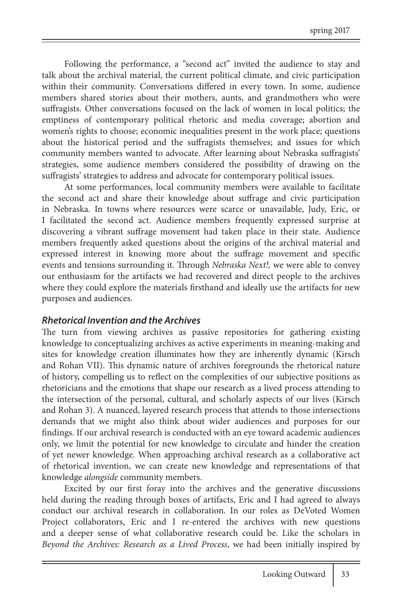Following the performance, a "second act" invited the audience to stay and talk about the archival material, the current political climate, and civic participation within their community. Conversations differed in every town. In some, audience members shared stories about their mothers, aunts, and grandmothers who were suffragists. Other conversations focused on the lack of women in local politics; the emptiness of contemporary political rhetoric and media coverage; abortion and women's rights to choose; economic inequalities present in the work place; questions about the historical period and the suffragists themselves; and issues for which community members wanted to advocate. After learning about Nebraska suffragists' strategies, some audience members considered the possibility of drawing on the suffragists' strategies to address and advocate for contemporary political issues.

At some performances, local community members were available to facilitate the second act and share their knowledge about suffrage and civic participation in Nebraska. In towns where resources were scarce or unavailable, Judy, Eric, or I facilitated the second act. Audience members frequently expressed surprise at discovering a vibrant suffrage movement had taken place in their state. Audience members frequently asked questions about the origins of the archival material and expressed interest in knowing more about the suffrage movement and specific events and tensions surrounding it. Through *Nebraska Next!,* we were able to convey our enthusiasm for the artifacts we had recovered and direct people to the archives where they could explore the materials firsthand and ideally use the artifacts for new purposes and audiences.

#### *Rhetorical Invention and the Archives*

The turn from viewing archives as passive repositories for gathering existing knowledge to conceptualizing archives as active experiments in meaning-making and sites for knowledge creation illuminates how they are inherently dynamic (Kirsch and Rohan VII). This dynamic nature of archives foregrounds the rhetorical nature of history, compelling us to reflect on the complexities of our subjective positions as rhetoricians and the emotions that shape our research as a lived process attending to the intersection of the personal, cultural, and scholarly aspects of our lives (Kirsch and Rohan 3). A nuanced, layered research process that attends to those intersections demands that we might also think about wider audiences and purposes for our findings. If our archival research is conducted with an eye toward academic audiences only, we limit the potential for new knowledge to circulate and hinder the creation of yet newer knowledge. When approaching archival research as a collaborative act of rhetorical invention, we can create new knowledge and representations of that knowledge *alongside* community members.

Excited by our first foray into the archives and the generative discussions held during the reading through boxes of artifacts, Eric and I had agreed to always conduct our archival research in collaboration. In our roles as DeVoted Women Project collaborators, Eric and I re-entered the archives with new questions and a deeper sense of what collaborative research could be. Like the scholars in *Beyond the Archives: Research as a Lived Process*, we had been initially inspired by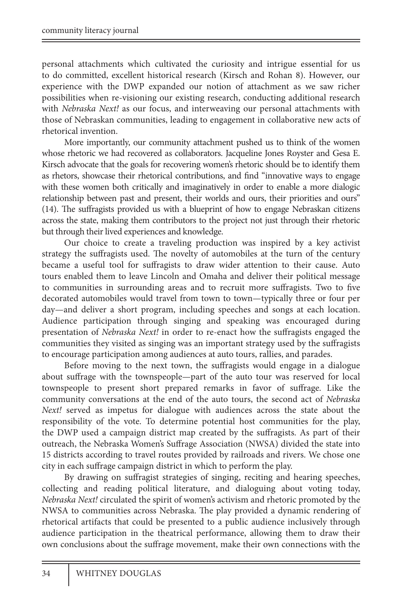personal attachments which cultivated the curiosity and intrigue essential for us to do committed, excellent historical research (Kirsch and Rohan 8). However, our experience with the DWP expanded our notion of attachment as we saw richer possibilities when re-visioning our existing research, conducting additional research with *Nebraska Next!* as our focus, and interweaving our personal attachments with those of Nebraskan communities, leading to engagement in collaborative new acts of rhetorical invention.

More importantly, our community attachment pushed us to think of the women whose rhetoric we had recovered as collaborators. Jacqueline Jones Royster and Gesa E. Kirsch advocate that the goals for recovering women's rhetoric should be to identify them as rhetors, showcase their rhetorical contributions, and find "innovative ways to engage with these women both critically and imaginatively in order to enable a more dialogic relationship between past and present, their worlds and ours, their priorities and ours" (14). The suffragists provided us with a blueprint of how to engage Nebraskan citizens across the state, making them contributors to the project not just through their rhetoric but through their lived experiences and knowledge.

Our choice to create a traveling production was inspired by a key activist strategy the suffragists used. The novelty of automobiles at the turn of the century became a useful tool for suffragists to draw wider attention to their cause. Auto tours enabled them to leave Lincoln and Omaha and deliver their political message to communities in surrounding areas and to recruit more suffragists. Two to five decorated automobiles would travel from town to town—typically three or four per day—and deliver a short program, including speeches and songs at each location. Audience participation through singing and speaking was encouraged during presentation of *Nebraska Next!* in order to re-enact how the suffragists engaged the communities they visited as singing was an important strategy used by the suffragists to encourage participation among audiences at auto tours, rallies, and parades.

Before moving to the next town, the suffragists would engage in a dialogue about suffrage with the townspeople—part of the auto tour was reserved for local townspeople to present short prepared remarks in favor of suffrage. Like the community conversations at the end of the auto tours, the second act of *Nebraska Next!* served as impetus for dialogue with audiences across the state about the responsibility of the vote. To determine potential host communities for the play, the DWP used a campaign district map created by the suffragists. As part of their outreach, the Nebraska Women's Suffrage Association (NWSA) divided the state into 15 districts according to travel routes provided by railroads and rivers. We chose one city in each suffrage campaign district in which to perform the play.

By drawing on suffragist strategies of singing, reciting and hearing speeches, collecting and reading political literature, and dialoguing about voting today, *Nebraska Next!* circulated the spirit of women's activism and rhetoric promoted by the NWSA to communities across Nebraska. The play provided a dynamic rendering of rhetorical artifacts that could be presented to a public audience inclusively through audience participation in the theatrical performance, allowing them to draw their own conclusions about the suffrage movement, make their own connections with the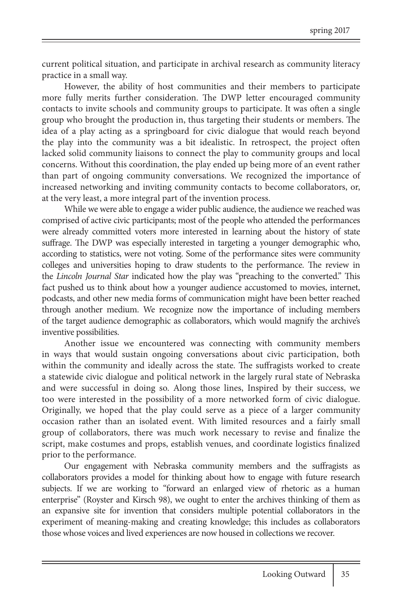current political situation, and participate in archival research as community literacy practice in a small way.

However, the ability of host communities and their members to participate more fully merits further consideration. The DWP letter encouraged community contacts to invite schools and community groups to participate. It was often a single group who brought the production in, thus targeting their students or members. The idea of a play acting as a springboard for civic dialogue that would reach beyond the play into the community was a bit idealistic. In retrospect, the project often lacked solid community liaisons to connect the play to community groups and local concerns. Without this coordination, the play ended up being more of an event rather than part of ongoing community conversations. We recognized the importance of increased networking and inviting community contacts to become collaborators, or, at the very least, a more integral part of the invention process.

While we were able to engage a wider public audience, the audience we reached was comprised of active civic participants; most of the people who attended the performances were already committed voters more interested in learning about the history of state suffrage. The DWP was especially interested in targeting a younger demographic who, according to statistics, were not voting. Some of the performance sites were community colleges and universities hoping to draw students to the performance. The review in the *Lincoln Journal Star* indicated how the play was "preaching to the converted." This fact pushed us to think about how a younger audience accustomed to movies, internet, podcasts, and other new media forms of communication might have been better reached through another medium. We recognize now the importance of including members of the target audience demographic as collaborators, which would magnify the archive's inventive possibilities.

Another issue we encountered was connecting with community members in ways that would sustain ongoing conversations about civic participation, both within the community and ideally across the state. The suffragists worked to create a statewide civic dialogue and political network in the largely rural state of Nebraska and were successful in doing so. Along those lines, Inspired by their success, we too were interested in the possibility of a more networked form of civic dialogue. Originally, we hoped that the play could serve as a piece of a larger community occasion rather than an isolated event. With limited resources and a fairly small group of collaborators, there was much work necessary to revise and finalize the script, make costumes and props, establish venues, and coordinate logistics finalized prior to the performance.

Our engagement with Nebraska community members and the suffragists as collaborators provides a model for thinking about how to engage with future research subjects. If we are working to "forward an enlarged view of rhetoric as a human enterprise" (Royster and Kirsch 98), we ought to enter the archives thinking of them as an expansive site for invention that considers multiple potential collaborators in the experiment of meaning-making and creating knowledge; this includes as collaborators those whose voices and lived experiences are now housed in collections we recover.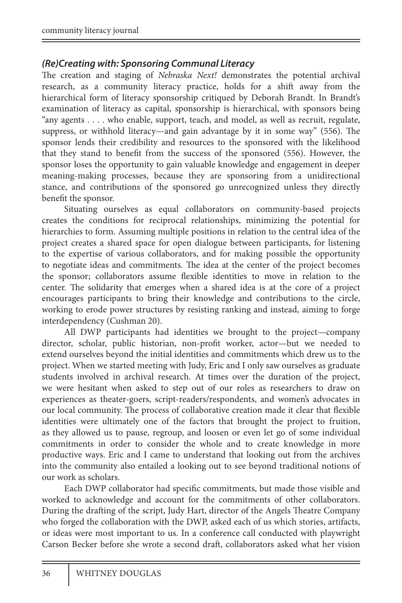#### *(Re)Creating with: Sponsoring Communal Literacy*

The creation and staging of *Nebraska Next!* demonstrates the potential archival research, as a community literacy practice, holds for a shift away from the hierarchical form of literacy sponsorship critiqued by Deborah Brandt. In Brandt's examination of literacy as capital, sponsorship is hierarchical, with sponsors being "any agents . . . . who enable, support, teach, and model, as well as recruit, regulate, suppress, or withhold literacy—and gain advantage by it in some way" (556). The sponsor lends their credibility and resources to the sponsored with the likelihood that they stand to benefit from the success of the sponsored (556). However, the sponsor loses the opportunity to gain valuable knowledge and engagement in deeper meaning-making processes, because they are sponsoring from a unidirectional stance, and contributions of the sponsored go unrecognized unless they directly benefit the sponsor.

Situating ourselves as equal collaborators on community-based projects creates the conditions for reciprocal relationships, minimizing the potential for hierarchies to form. Assuming multiple positions in relation to the central idea of the project creates a shared space for open dialogue between participants, for listening to the expertise of various collaborators, and for making possible the opportunity to negotiate ideas and commitments. The idea at the center of the project becomes the sponsor; collaborators assume flexible identities to move in relation to the center. The solidarity that emerges when a shared idea is at the core of a project encourages participants to bring their knowledge and contributions to the circle, working to erode power structures by resisting ranking and instead, aiming to forge interdependency (Cushman 20).

All DWP participants had identities we brought to the project—company director, scholar, public historian, non-profit worker, actor—but we needed to extend ourselves beyond the initial identities and commitments which drew us to the project. When we started meeting with Judy, Eric and I only saw ourselves as graduate students involved in archival research. At times over the duration of the project, we were hesitant when asked to step out of our roles as researchers to draw on experiences as theater-goers, script-readers/respondents, and women's advocates in our local community. The process of collaborative creation made it clear that flexible identities were ultimately one of the factors that brought the project to fruition, as they allowed us to pause, regroup, and loosen or even let go of some individual commitments in order to consider the whole and to create knowledge in more productive ways. Eric and I came to understand that looking out from the archives into the community also entailed a looking out to see beyond traditional notions of our work as scholars.

Each DWP collaborator had specific commitments, but made those visible and worked to acknowledge and account for the commitments of other collaborators. During the drafting of the script, Judy Hart, director of the Angels Theatre Company who forged the collaboration with the DWP, asked each of us which stories, artifacts, or ideas were most important to us. In a conference call conducted with playwright Carson Becker before she wrote a second draft, collaborators asked what her vision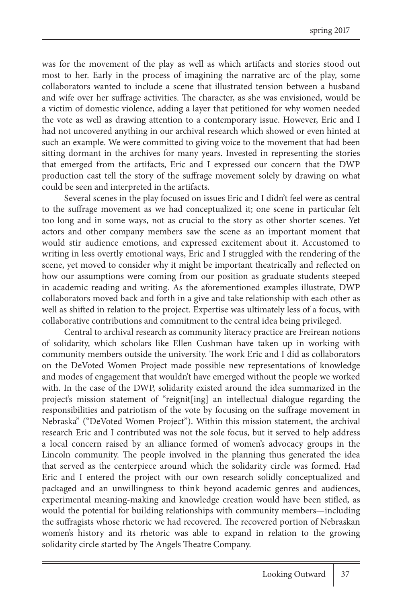was for the movement of the play as well as which artifacts and stories stood out most to her. Early in the process of imagining the narrative arc of the play, some collaborators wanted to include a scene that illustrated tension between a husband and wife over her suffrage activities. The character, as she was envisioned, would be a victim of domestic violence, adding a layer that petitioned for why women needed the vote as well as drawing attention to a contemporary issue. However, Eric and I had not uncovered anything in our archival research which showed or even hinted at such an example. We were committed to giving voice to the movement that had been sitting dormant in the archives for many years. Invested in representing the stories that emerged from the artifacts, Eric and I expressed our concern that the DWP production cast tell the story of the suffrage movement solely by drawing on what could be seen and interpreted in the artifacts.

Several scenes in the play focused on issues Eric and I didn't feel were as central to the suffrage movement as we had conceptualized it; one scene in particular felt too long and in some ways, not as crucial to the story as other shorter scenes. Yet actors and other company members saw the scene as an important moment that would stir audience emotions, and expressed excitement about it. Accustomed to writing in less overtly emotional ways, Eric and I struggled with the rendering of the scene, yet moved to consider why it might be important theatrically and reflected on how our assumptions were coming from our position as graduate students steeped in academic reading and writing. As the aforementioned examples illustrate, DWP collaborators moved back and forth in a give and take relationship with each other as well as shifted in relation to the project. Expertise was ultimately less of a focus, with collaborative contributions and commitment to the central idea being privileged.

Central to archival research as community literacy practice are Freirean notions of solidarity, which scholars like Ellen Cushman have taken up in working with community members outside the university. The work Eric and I did as collaborators on the DeVoted Women Project made possible new representations of knowledge and modes of engagement that wouldn't have emerged without the people we worked with. In the case of the DWP, solidarity existed around the idea summarized in the project's mission statement of "reignit[ing] an intellectual dialogue regarding the responsibilities and patriotism of the vote by focusing on the suffrage movement in Nebraska" ("DeVoted Women Project"). Within this mission statement, the archival research Eric and I contributed was not the sole focus, but it served to help address a local concern raised by an alliance formed of women's advocacy groups in the Lincoln community. The people involved in the planning thus generated the idea that served as the centerpiece around which the solidarity circle was formed. Had Eric and I entered the project with our own research solidly conceptualized and packaged and an unwillingness to think beyond academic genres and audiences, experimental meaning-making and knowledge creation would have been stifled, as would the potential for building relationships with community members—including the suffragists whose rhetoric we had recovered. The recovered portion of Nebraskan women's history and its rhetoric was able to expand in relation to the growing solidarity circle started by The Angels Theatre Company.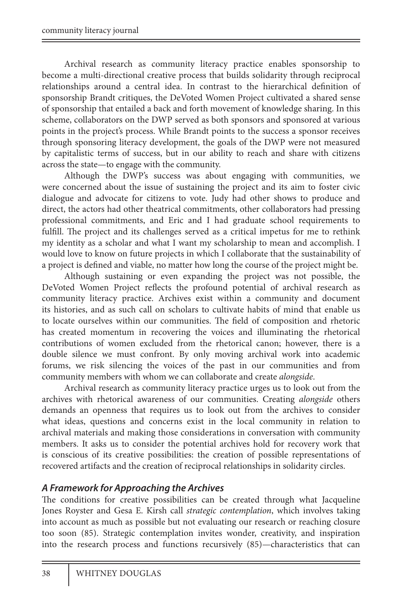Archival research as community literacy practice enables sponsorship to become a multi-directional creative process that builds solidarity through reciprocal relationships around a central idea. In contrast to the hierarchical definition of sponsorship Brandt critiques, the DeVoted Women Project cultivated a shared sense of sponsorship that entailed a back and forth movement of knowledge sharing. In this scheme, collaborators on the DWP served as both sponsors and sponsored at various points in the project's process. While Brandt points to the success a sponsor receives through sponsoring literacy development, the goals of the DWP were not measured by capitalistic terms of success, but in our ability to reach and share with citizens across the state—to engage with the community.

Although the DWP's success was about engaging with communities, we were concerned about the issue of sustaining the project and its aim to foster civic dialogue and advocate for citizens to vote. Judy had other shows to produce and direct, the actors had other theatrical commitments, other collaborators had pressing professional commitments, and Eric and I had graduate school requirements to fulfill. The project and its challenges served as a critical impetus for me to rethink my identity as a scholar and what I want my scholarship to mean and accomplish. I would love to know on future projects in which I collaborate that the sustainability of a project is defined and viable, no matter how long the course of the project might be.

Although sustaining or even expanding the project was not possible, the DeVoted Women Project reflects the profound potential of archival research as community literacy practice. Archives exist within a community and document its histories, and as such call on scholars to cultivate habits of mind that enable us to locate ourselves within our communities. The field of composition and rhetoric has created momentum in recovering the voices and illuminating the rhetorical contributions of women excluded from the rhetorical canon; however, there is a double silence we must confront. By only moving archival work into academic forums, we risk silencing the voices of the past in our communities and from community members with whom we can collaborate and create *alongside*.

Archival research as community literacy practice urges us to look out from the archives with rhetorical awareness of our communities. Creating *alongside* others demands an openness that requires us to look out from the archives to consider what ideas, questions and concerns exist in the local community in relation to archival materials and making those considerations in conversation with community members. It asks us to consider the potential archives hold for recovery work that is conscious of its creative possibilities: the creation of possible representations of recovered artifacts and the creation of reciprocal relationships in solidarity circles.

#### *A Framework for Approaching the Archives*

The conditions for creative possibilities can be created through what Jacqueline Jones Royster and Gesa E. Kirsh call *strategic contemplation*, which involves taking into account as much as possible but not evaluating our research or reaching closure too soon (85). Strategic contemplation invites wonder, creativity, and inspiration into the research process and functions recursively (85)—characteristics that can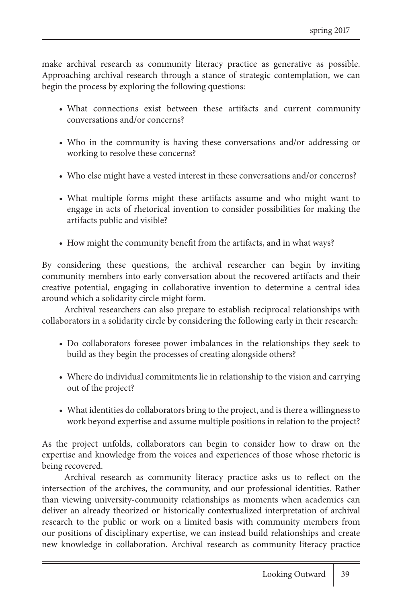make archival research as community literacy practice as generative as possible. Approaching archival research through a stance of strategic contemplation, we can begin the process by exploring the following questions:

- What connections exist between these artifacts and current community conversations and/or concerns?
- Who in the community is having these conversations and/or addressing or working to resolve these concerns?
- Who else might have a vested interest in these conversations and/or concerns?
- What multiple forms might these artifacts assume and who might want to engage in acts of rhetorical invention to consider possibilities for making the artifacts public and visible?
- How might the community benefit from the artifacts, and in what ways?

By considering these questions, the archival researcher can begin by inviting community members into early conversation about the recovered artifacts and their creative potential, engaging in collaborative invention to determine a central idea around which a solidarity circle might form.

Archival researchers can also prepare to establish reciprocal relationships with collaborators in a solidarity circle by considering the following early in their research:

- Do collaborators foresee power imbalances in the relationships they seek to build as they begin the processes of creating alongside others?
- Where do individual commitments lie in relationship to the vision and carrying out of the project?
- What identities do collaborators bring to the project, and is there a willingness to work beyond expertise and assume multiple positions in relation to the project?

As the project unfolds, collaborators can begin to consider how to draw on the expertise and knowledge from the voices and experiences of those whose rhetoric is being recovered.

Archival research as community literacy practice asks us to reflect on the intersection of the archives, the community, and our professional identities. Rather than viewing university-community relationships as moments when academics can deliver an already theorized or historically contextualized interpretation of archival research to the public or work on a limited basis with community members from our positions of disciplinary expertise, we can instead build relationships and create new knowledge in collaboration. Archival research as community literacy practice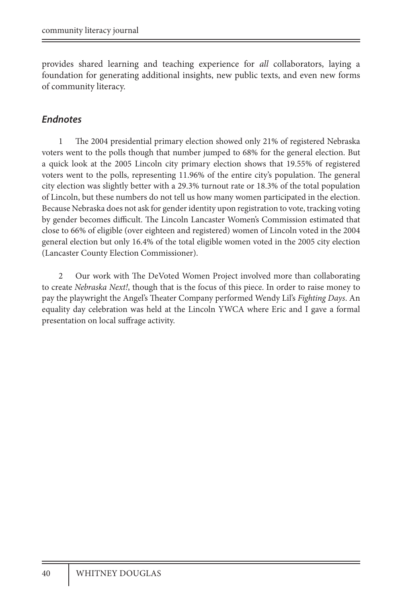provides shared learning and teaching experience for *all* collaborators, laying a foundation for generating additional insights, new public texts, and even new forms of community literacy.

#### *Endnotes*

1 The 2004 presidential primary election showed only 21% of registered Nebraska voters went to the polls though that number jumped to 68% for the general election. But a quick look at the 2005 Lincoln city primary election shows that 19.55% of registered voters went to the polls, representing 11.96% of the entire city's population. The general city election was slightly better with a 29.3% turnout rate or 18.3% of the total population of Lincoln, but these numbers do not tell us how many women participated in the election. Because Nebraska does not ask for gender identity upon registration to vote, tracking voting by gender becomes difficult. The Lincoln Lancaster Women's Commission estimated that close to 66% of eligible (over eighteen and registered) women of Lincoln voted in the 2004 general election but only 16.4% of the total eligible women voted in the 2005 city election (Lancaster County Election Commissioner).

2 Our work with The DeVoted Women Project involved more than collaborating to create *Nebraska Next!*, though that is the focus of this piece. In order to raise money to pay the playwright the Angel's Theater Company performed Wendy Lil's *Fighting Days*. An equality day celebration was held at the Lincoln YWCA where Eric and I gave a formal presentation on local suffrage activity.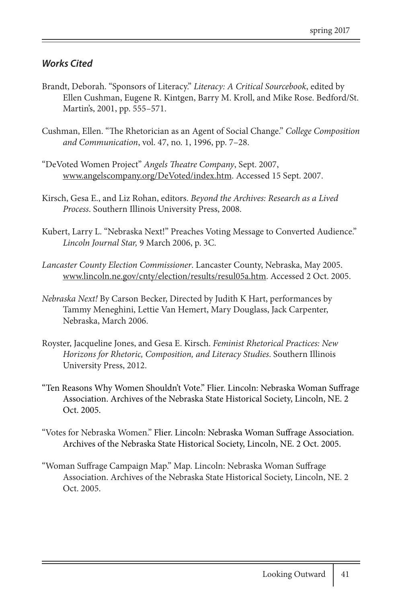#### *Works Cited*

- Brandt, Deborah. "Sponsors of Literacy." *Literacy: A Critical Sourcebook*, edited by Ellen Cushman, Eugene R. Kintgen, Barry M. Kroll, and Mike Rose. Bedford/St. Martin's, 2001, pp. 555–571.
- Cushman, Ellen. "The Rhetorician as an Agent of Social Change." *College Composition and Communication*, vol. 47, no. 1, 1996, pp. 7–28.
- "DeVoted Women Project" *Angels Theatre Company*, Sept. 2007, www.angelscompany.org/DeVoted/index.htm. Accessed 15 Sept. 2007.
- Kirsch, Gesa E., and Liz Rohan, editors. *Beyond the Archives: Research as a Lived Process*. Southern Illinois University Press, 2008.
- Kubert, Larry L. "Nebraska Next!" Preaches Voting Message to Converted Audience." *Lincoln Journal Star,* 9 March 2006, p. 3C.
- *Lancaster County Election Commissioner*. Lancaster County, Nebraska, May 2005. www.lincoln.ne.gov/cnty/election/results/resul05a.htm. Accessed 2 Oct. 2005.
- *Nebraska Next!* By Carson Becker, Directed by Judith K Hart, performances by Tammy Meneghini, Lettie Van Hemert, Mary Douglass, Jack Carpenter, Nebraska, March 2006.
- Royster, Jacqueline Jones, and Gesa E. Kirsch. *Feminist Rhetorical Practices: New Horizons for Rhetoric, Composition, and Literacy Studies*. Southern Illinois University Press, 2012.
- "Ten Reasons Why Women Shouldn't Vote." Flier. Lincoln: Nebraska Woman Suffrage Association. Archives of the Nebraska State Historical Society, Lincoln, NE. 2 Oct. 2005.
- "Votes for Nebraska Women." Flier. Lincoln: Nebraska Woman Suffrage Association. Archives of the Nebraska State Historical Society, Lincoln, NE. 2 Oct. 2005.
- "Woman Suffrage Campaign Map." Map. Lincoln: Nebraska Woman Suffrage Association. Archives of the Nebraska State Historical Society, Lincoln, NE. 2 Oct. 2005.